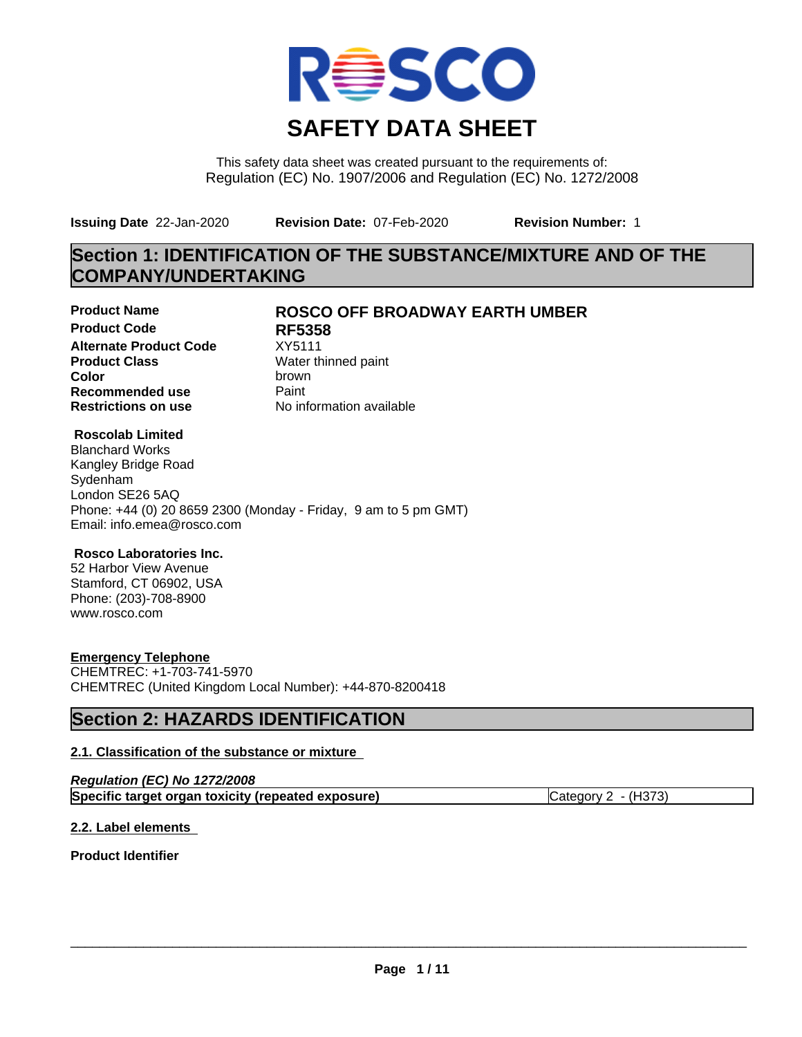

This safety data sheet was created pursuant to the requirements of: Regulation (EC) No. 1907/2006 and Regulation (EC) No. 1272/2008

**Issuing Date** 22-Jan-2020 **Revision Date:** 07-Feb-2020 **Revision Number:** 1

# **Section 1: IDENTIFICATION OF THE SUBSTANCE/MIXTURE AND OF THE COMPANY/UNDERTAKING**

**Product Code RF5358 Alternate Product Code** XY5111<br>**Product Class** Water th **Product Class** Water thinned paint<br> **Color** brown **Color** brown **Recommended use** Paint<br> **Restrictions on use** Mo information available **Restrictions on use** 

# **Product Name ROSCO OFF BROADWAY EARTH UMBER**

# **Roscolab Limited**

Blanchard Works Kangley Bridge Road Sydenham London SE26 5AQ Phone: +44 (0) 20 8659 2300 (Monday - Friday, 9 am to 5 pm GMT) Email: info.emea@rosco.com

# **Rosco Laboratories Inc.**

52 Harbor View Avenue Stamford, CT 06902, USA Phone: (203)-708-8900 www.rosco.com

# **Emergency Telephone**

CHEMTREC: +1-703-741-5970 CHEMTREC (United Kingdom Local Number): +44-870-8200418

# **Section 2: HAZARDS IDENTIFICATION**

# **2.1. Classification of the substance or mixture**

| Regulation (EC) No 1272/2008                       |                     |
|----------------------------------------------------|---------------------|
| Specific target organ toxicity (repeated exposure) | Category 2 - (H373) |

# **2.2. Label elements**

**Product Identifier**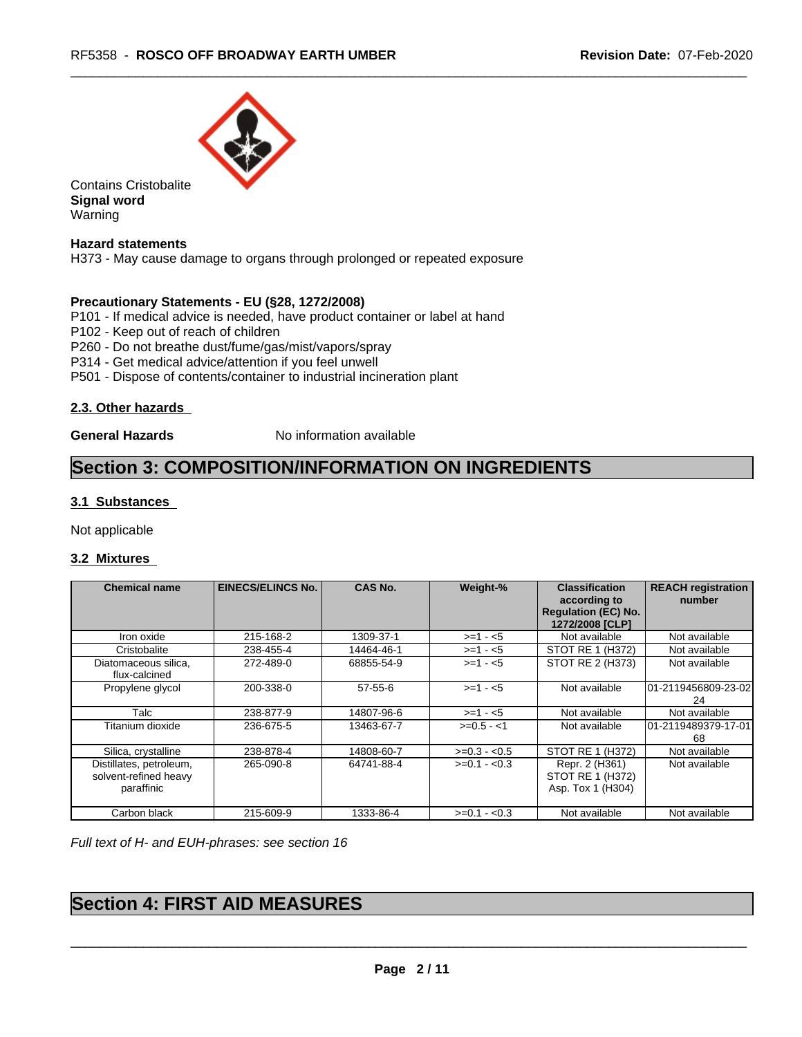

Contains Cristobalite **Signal word** Warning

## **Hazard statements**

H373 - May cause damage to organs through prolonged or repeated exposure

## **Precautionary Statements - EU (§28, 1272/2008)**

P101 - If medical advice is needed, have product container or label at hand

- P102 Keep out of reach of children
- P260 Do not breathe dust/fume/gas/mist/vapors/spray
- P314 Get medical advice/attention if you feel unwell
- P501 Dispose of contents/container to industrial incineration plant

## **2.3. Other hazards**

**General Hazards** No information available

# **Section 3: COMPOSITION/INFORMATION ON INGREDIENTS**

## **3.1 Substances**

Not applicable

## **3.2 Mixtures**

| Chemical name                                                  | <b>EINECS/ELINCS No.</b> | <b>CAS No.</b> | Weight-%      | <b>Classification</b><br>according to<br><b>Regulation (EC) No.</b><br>1272/2008 [CLP] | <b>REACH registration</b><br>number |
|----------------------------------------------------------------|--------------------------|----------------|---------------|----------------------------------------------------------------------------------------|-------------------------------------|
| Iron oxide                                                     | 215-168-2                | 1309-37-1      | $>=1 - 5$     | Not available                                                                          | Not available                       |
| Cristobalite                                                   | 238-455-4                | 14464-46-1     | $>=1 - 5$     | STOT RE 1 (H372)                                                                       | Not available                       |
| Diatomaceous silica.<br>flux-calcined                          | 272-489-0                | 68855-54-9     | $>= 1 - 5$    | STOT RE 2 (H373)                                                                       | Not available                       |
| Propylene glycol                                               | 200-338-0                | $57-55-6$      | $>= 1 - 5$    | Not available                                                                          | 101-2119456809-23-02<br>24          |
| Talc                                                           | 238-877-9                | 14807-96-6     | $>=1 - 5$     | Not available                                                                          | Not available                       |
| Titanium dioxide                                               | 236-675-5                | 13463-67-7     | $>=0.5 - 1$   | Not available                                                                          | 101-2119489379-17-01<br>68          |
| Silica, crystalline                                            | 238-878-4                | 14808-60-7     | $>=0.3 - 0.5$ | STOT RE 1 (H372)                                                                       | Not available                       |
| Distillates, petroleum,<br>solvent-refined heavy<br>paraffinic | 265-090-8                | 64741-88-4     | $>=0.1 - 0.3$ | Repr. 2 (H361)<br>STOT RE 1 (H372)<br>Asp. Tox 1 (H304)                                | Not available                       |
| Carbon black                                                   | 215-609-9                | 1333-86-4      | $>=0.1 - 0.3$ | Not available                                                                          | Not available                       |

*Full text of H- and EUH-phrases: see section 16*

# **Section 4: FIRST AID MEASURES**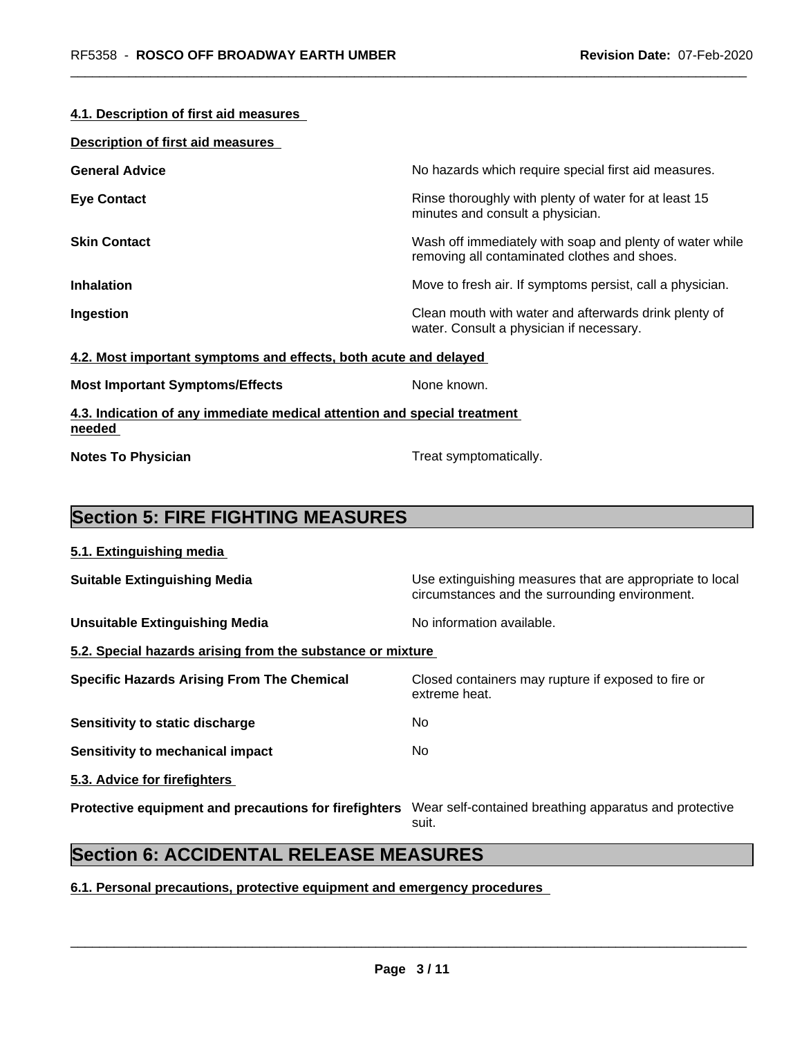#### **4.1. Description of first aid measures**

| <b>Description of first aid measures</b> |                                                                                                          |
|------------------------------------------|----------------------------------------------------------------------------------------------------------|
| <b>General Advice</b>                    | No hazards which require special first aid measures.                                                     |
| <b>Eye Contact</b>                       | Rinse thoroughly with plenty of water for at least 15<br>minutes and consult a physician.                |
| <b>Skin Contact</b>                      | Wash off immediately with soap and plenty of water while<br>removing all contaminated clothes and shoes. |
| <b>Inhalation</b>                        | Move to fresh air. If symptoms persist, call a physician.                                                |
| Ingestion                                | Clean mouth with water and afterwards drink plenty of<br>water. Consult a physician if necessary.        |
|                                          |                                                                                                          |

#### **4.2. Most important symptoms and effects, both acute and delayed**

|  | <b>Most Important Symptoms/Effects</b> |
|--|----------------------------------------|
|--|----------------------------------------|

**4.3. Indication of any immediate medical attention and special treatment needed** 

**Notes To Physician Treat symptomatically.** 

**None known.** 

# **Section 5: FIRE FIGHTING MEASURES**

| 5.1. Extinguishing media                                                                                     |                                                                                                            |
|--------------------------------------------------------------------------------------------------------------|------------------------------------------------------------------------------------------------------------|
| <b>Suitable Extinguishing Media</b>                                                                          | Use extinguishing measures that are appropriate to local<br>circumstances and the surrounding environment. |
| <b>Unsuitable Extinguishing Media</b>                                                                        | No information available.                                                                                  |
| 5.2. Special hazards arising from the substance or mixture                                                   |                                                                                                            |
| <b>Specific Hazards Arising From The Chemical</b>                                                            | Closed containers may rupture if exposed to fire or<br>extreme heat.                                       |
| Sensitivity to static discharge                                                                              | No                                                                                                         |
| Sensitivity to mechanical impact                                                                             | No.                                                                                                        |
| 5.3. Advice for firefighters                                                                                 |                                                                                                            |
| Protective equipment and precautions for firefighters Wear self-contained breathing apparatus and protective |                                                                                                            |

suit.

# **Section 6: ACCIDENTAL RELEASE MEASURES**

**6.1. Personal precautions, protective equipment and emergency procedures**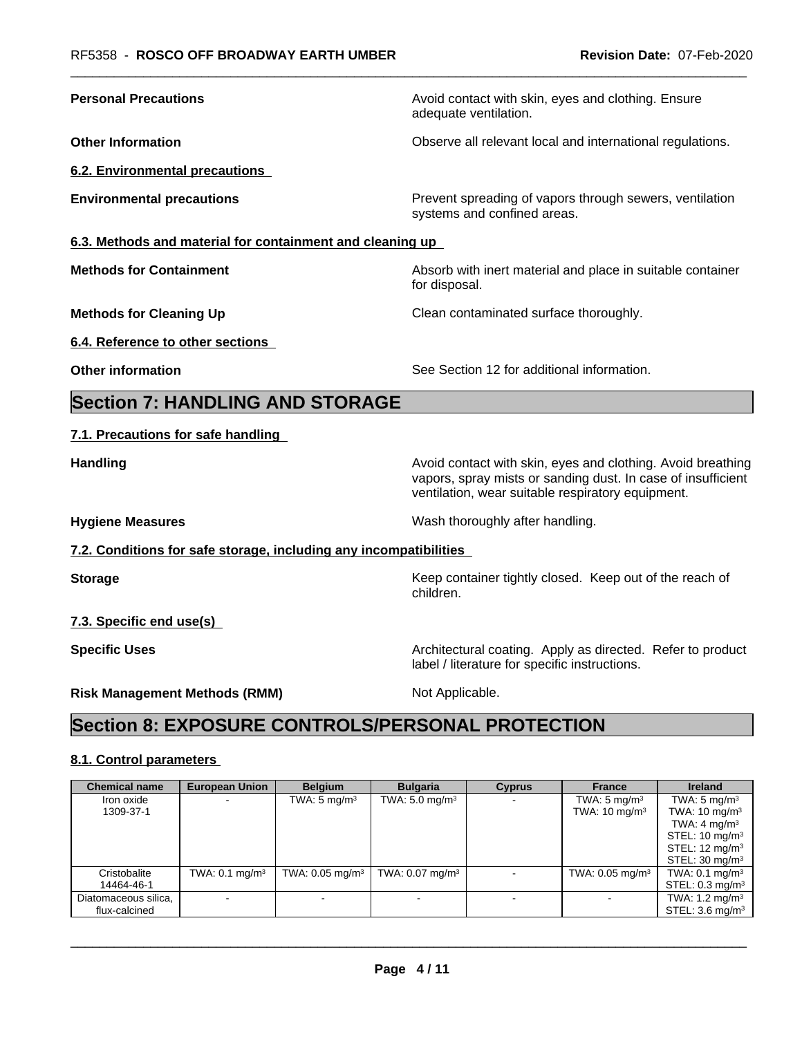| <b>Personal Precautions</b>                                       | Avoid contact with skin, eyes and clothing. Ensure<br>adequate ventilation.                                                                                                      |
|-------------------------------------------------------------------|----------------------------------------------------------------------------------------------------------------------------------------------------------------------------------|
| <b>Other Information</b>                                          | Observe all relevant local and international regulations.                                                                                                                        |
| 6.2. Environmental precautions                                    |                                                                                                                                                                                  |
| <b>Environmental precautions</b>                                  | Prevent spreading of vapors through sewers, ventilation<br>systems and confined areas.                                                                                           |
| 6.3. Methods and material for containment and cleaning up         |                                                                                                                                                                                  |
| <b>Methods for Containment</b>                                    | Absorb with inert material and place in suitable container<br>for disposal.                                                                                                      |
| <b>Methods for Cleaning Up</b>                                    | Clean contaminated surface thoroughly.                                                                                                                                           |
| 6.4. Reference to other sections                                  |                                                                                                                                                                                  |
| <b>Other information</b>                                          | See Section 12 for additional information.                                                                                                                                       |
| <b>Section 7: HANDLING AND STORAGE</b>                            |                                                                                                                                                                                  |
| 7.1. Precautions for safe handling                                |                                                                                                                                                                                  |
| <b>Handling</b>                                                   | Avoid contact with skin, eyes and clothing. Avoid breathing<br>vapors, spray mists or sanding dust. In case of insufficient<br>ventilation, wear suitable respiratory equipment. |
| <b>Hygiene Measures</b>                                           | Wash thoroughly after handling.                                                                                                                                                  |
| 7.2. Conditions for safe storage, including any incompatibilities |                                                                                                                                                                                  |
| <b>Storage</b>                                                    | Keep container tightly closed. Keep out of the reach of<br>children.                                                                                                             |
| 7.3. Specific end use(s)                                          |                                                                                                                                                                                  |
| <b>Specific Uses</b>                                              | Architectural coating. Apply as directed. Refer to product                                                                                                                       |
|                                                                   | label / literature for specific instructions.                                                                                                                                    |

## **8.1. Control parameters**

| <b>Chemical name</b>                  | <b>European Union</b>     | <b>Belgium</b>                | <b>Bulgaria</b>               | <b>Cyprus</b> | <b>France</b>                                       | <b>Ireland</b>                                                                                                                                                          |
|---------------------------------------|---------------------------|-------------------------------|-------------------------------|---------------|-----------------------------------------------------|-------------------------------------------------------------------------------------------------------------------------------------------------------------------------|
| Iron oxide<br>1309-37-1               |                           | TWA: $5 \text{ mg/m}^3$       | TWA: $5.0 \text{ mg/m}^3$     |               | TWA: $5 \text{ mg/m}^3$<br>TWA: $10 \text{ mg/m}^3$ | TWA: $5 \text{ mg/m}^3$<br>TWA: $10 \text{ mg/m}^3$<br>TWA: 4 mg/m <sup>3</sup><br>STEL: $10 \text{ mg/m}^3$<br>STEL: 12 mg/m <sup>3</sup><br>STEL: $30 \text{ mg/m}^3$ |
| Cristobalite<br>14464-46-1            | TWA: $0.1 \text{ mg/m}^3$ | TWA: $0.05$ mg/m <sup>3</sup> | TWA: $0.07$ mg/m <sup>3</sup> |               | TWA: $0.05$ mg/m <sup>3</sup>                       | TWA: $0.1 \text{ mg/m}^3$<br>STEL: $0.3 \text{ mg/m}^3$                                                                                                                 |
| Diatomaceous silica,<br>flux-calcined |                           |                               |                               |               |                                                     | TWA: $1.2 \text{ mg/m}^3$<br>STEL: $3.6 \text{ mg/m}^3$                                                                                                                 |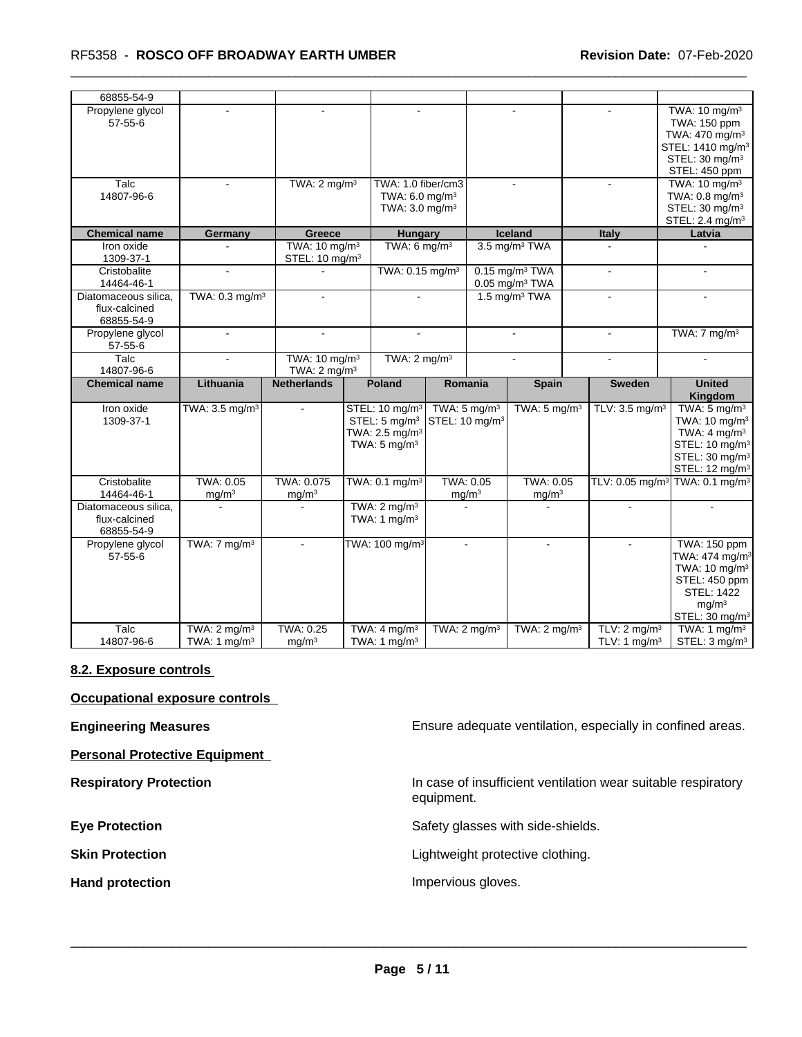| 68855-54-9                                          |                                           |                                                         |                                                                                                                |                                                       |                                                              |                                                     |                                                                                                                                                                           |
|-----------------------------------------------------|-------------------------------------------|---------------------------------------------------------|----------------------------------------------------------------------------------------------------------------|-------------------------------------------------------|--------------------------------------------------------------|-----------------------------------------------------|---------------------------------------------------------------------------------------------------------------------------------------------------------------------------|
| Propylene glycol<br>$57 - 55 - 6$                   | $\sim$                                    | $\sim$                                                  | $\sim$                                                                                                         |                                                       | $\overline{a}$                                               | $\sim$                                              | TWA: 10 mg/m <sup>3</sup><br>TWA: 150 ppm<br>TWA: 470 mg/m <sup>3</sup><br>STEL: 1410 mg/m <sup>3</sup><br>STEL: 30 mg/m <sup>3</sup><br>STEL: 450 ppm                    |
| Talc<br>14807-96-6                                  | $\sim$                                    | TWA: $2 \text{ mg/m}^3$                                 | TWA: 1.0 fiber/cm3<br>TWA: 6.0 mg/m <sup>3</sup><br>TWA: 3.0 mg/m <sup>3</sup>                                 |                                                       |                                                              |                                                     | TWA: $10 \text{ mg/m}^3$<br>TWA: $0.8 \text{ mg/m}^3$<br>STEL: 30 mg/m <sup>3</sup><br>STEL: 2.4 mg/m <sup>3</sup>                                                        |
| <b>Chemical name</b>                                | Germany                                   | Greece                                                  | <b>Hungary</b>                                                                                                 |                                                       | Iceland                                                      | <b>Italy</b>                                        | Latvia                                                                                                                                                                    |
| Iron oxide<br>1309-37-1                             |                                           | TWA: 10 mg/m <sup>3</sup><br>STEL: 10 mg/m <sup>3</sup> | TWA: $6 \text{ mg/m}^3$                                                                                        |                                                       | 3.5 mg/m <sup>3</sup> TWA                                    |                                                     |                                                                                                                                                                           |
| Cristobalite<br>14464-46-1                          | $\sim$                                    |                                                         | TWA: 0.15 mg/m <sup>3</sup>                                                                                    |                                                       | $0.15$ mg/m <sup>3</sup> TWA<br>$0.05$ mg/m <sup>3</sup> TWA | $\blacksquare$                                      | $\blacksquare$                                                                                                                                                            |
| Diatomaceous silica.<br>flux-calcined<br>68855-54-9 | TWA: $0.3$ mg/m <sup>3</sup>              | $\sim$                                                  | $\sim$                                                                                                         |                                                       | 1.5 mg/m <sup>3</sup> TWA                                    | $\blacksquare$                                      | $\mathbf{r}$                                                                                                                                                              |
| Propylene glycol<br>$57 - 55 - 6$                   | $\sim$                                    | $\mathbf{r}$                                            | $\sim$                                                                                                         |                                                       | $\blacksquare$                                               | $\mathbf{r}$                                        | TWA: $7 \text{ mg/m}^3$                                                                                                                                                   |
| Talc<br>14807-96-6                                  |                                           | TWA: 10 mg/m <sup>3</sup><br>TWA: $2 \text{ mg/m}^3$    | TWA: $2 \text{ mg/m}^3$                                                                                        |                                                       |                                                              | $\sim$                                              |                                                                                                                                                                           |
| <b>Chemical name</b>                                | Lithuania                                 | <b>Netherlands</b>                                      | Poland                                                                                                         | Romania                                               | <b>Spain</b>                                                 | <b>Sweden</b>                                       | <b>United</b><br>Kingdom                                                                                                                                                  |
| Iron oxide<br>1309-37-1                             | TWA: $3.5 \text{ mg/m}^3$                 |                                                         | STEL: 10 mg/m <sup>3</sup><br>STEL: $5 \text{ mq/m}^3$<br>TWA: $2.5 \text{ mg/m}^3$<br>TWA: $5 \text{ mg/m}^3$ | TWA: $5 \text{ mg/m}^3$<br>STEL: 10 mg/m <sup>3</sup> | TWA: $5 \text{ mg/m}^3$                                      | TLV: $3.5 \text{ mg/m}^3$                           | TWA: $5 \text{ mg/m}^3$<br>TWA: 10 mg/m <sup>3</sup><br>TWA: $4 \text{ mg/m}^3$<br>STEL: 10 mg/m <sup>3</sup><br>STEL: 30 mg/m <sup>3</sup><br>STEL: 12 mg/m <sup>3</sup> |
| Cristobalite<br>14464-46-1                          | <b>TWA: 0.05</b><br>mq/m <sup>3</sup>     | TWA: 0.075<br>mg/m <sup>3</sup>                         | TWA: 0.1 mg/m <sup>3</sup>                                                                                     | <b>TWA: 0.05</b><br>mg/m <sup>3</sup>                 | <b>TWA: 0.05</b><br>mg/m <sup>3</sup>                        |                                                     | TLV: 0.05 mg/m <sup>3</sup> TWA: 0.1 mg/m <sup>3</sup>                                                                                                                    |
| Diatomaceous silica,<br>flux-calcined<br>68855-54-9 |                                           |                                                         | TWA: $2 \text{ mg/m}^3$<br>TWA: 1 $mq/m3$                                                                      |                                                       |                                                              |                                                     |                                                                                                                                                                           |
| Propylene glycol<br>$57 - 55 - 6$                   | TWA: $7 \text{ mg/m}^3$                   |                                                         | TWA: 100 mg/m <sup>3</sup>                                                                                     |                                                       | $\blacksquare$                                               |                                                     | TWA: 150 ppm<br>TWA: 474 mg/m <sup>3</sup><br>TWA: $10 \text{ mg/m}^3$<br>STEL: 450 ppm<br><b>STEL: 1422</b><br>mg/m <sup>3</sup><br>STEL: 30 mg/m <sup>3</sup>           |
| Talc<br>14807-96-6                                  | TWA: $2 \text{ mg/m}^3$<br>TWA: 1 $mq/m3$ | TWA: 0.25<br>mq/m <sup>3</sup>                          | TWA: $4 \text{ mg/m}^3$<br>TWA: 1 $mq/m3$                                                                      | TWA: $2 \text{ mg/m}^3$                               | TWA: $2 \text{ mg/m}^3$                                      | TLV: $2 \text{ mg/m}^3$<br>TLV: 1 mg/m <sup>3</sup> | TWA: 1 mg/m <sup>3</sup><br>STEL: 3 mg/m <sup>3</sup>                                                                                                                     |

## **8.2. Exposure controls**

**Occupational exposure controls**

**Personal Protective Equipment**

**Engineering Measures Ensure 2018** Ensure adequate ventilation, especially in confined areas.

**Respiratory Protection In case of insufficient ventilation wear suitable respiratory** equipment.

**Eye Protection** Safety glasses with side-shields.

**Skin Protection Skin Protection Lightweight protective clothing.** 

Hand protection **Impervious** gloves.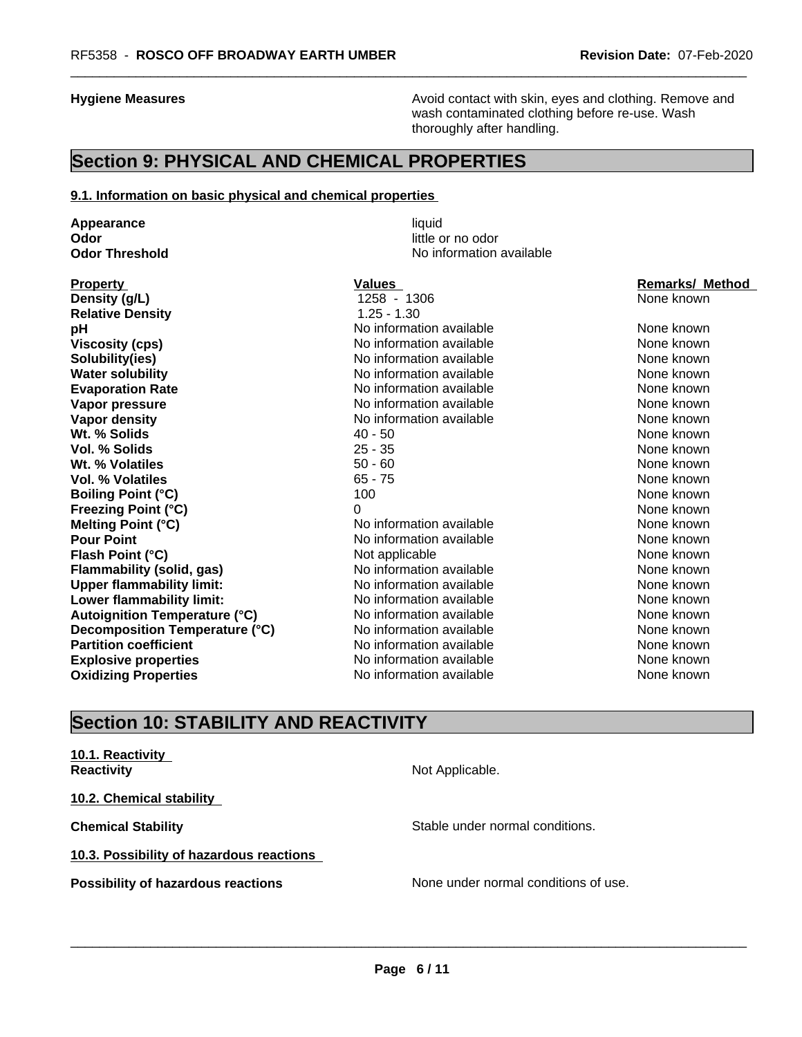**Hygiene Measures Avoid contact with skin, eyes and clothing. Remove and Avoid contact with skin, eyes and clothing. Remove and Avoid contact with skin, eyes and clothing. Remove and** wash contaminated clothing before re-use. Wash thoroughly after handling.

# **Section 9: PHYSICAL AND CHEMICAL PROPERTIES**

#### **9.1. Information on basic physical and chemical properties**

**Appearance** liquid **Odor** little or no odor<br> **Odor Threshold Codor Integrated Codor Codor Integrated** 

**Density (g/L)** 1258 - 1306 None known **Relative Density** 1.25 - 1.30 **pH has a** No information available **None known**<br>
No information available **None known**<br>
None known **Solubility(ies)** No information available None known None known **Water solubility Notify Allen available Mater Solubility None known None known Evaporation Rate Notifiable** No information available **None known** None known **Vapor pressure** No information available None known None known **Vapor density** Noting Management Mone has a None known None known None known None known None known **Wt. % Solids** and the set of the set of the set of the set of the set of the set of the set of the set of the set of the set of the set of the set of the set of the set of the set of the set of the set of the set of the s **Vol. % Solids** 25 - 35 None known 25 - 35 None known 25 - 35 None known 25 - 35 None known 25 - 35 None known 25 - 35 None known 25 - 35 None known 25 - 35 None known 26 None known 26 None known 20 None known 20 None know **Wt. % Volatiles** 60 **100 Million Contract Contract Contract Contract Contract Contract Contract Contract Contract Contract Contract Contract Contract Contract Contract Contract Contract Contract Contract Contract Contract Vol. % Volatiles** 65 - 75 None known **None known Boiling Point (°C)** 100 100 None known **Freezing Point (°C)** 0 None known **Melting Point (°C)** Noinformation available None known **Pour Point** No information available None known None known **Flash Point (°C)** Not applicable Not applicable None known **Flammability (solid, gas)** No information available None Known None known **Upper flammability limit:** No information available None Known None known **Lower flammability limit:** No information available None known None known **Autoignition Temperature (°C)** No information available None Known None known **Decomposition Temperature (°C)** No information available None None known **Partition coefficient No information available None known** None known **Explosive properties** Note 2012 **No information available** None known **Oxidizing Properties No information available** None known

**No information available** 

**Viscosity (Viscosity Cone in the internation available None known None known** 

**Property Construction Construction Construction Values According Construction Construction Construction Construction Construction Construction Construction Construction Construction Construction Construction Construction** 

# **Section 10: STABILITY AND REACTIVITY**

# **10.1. Reactivity**

**10.2. Chemical stability**

**10.3. Possibility of hazardous reactions**

**Reactivity Not Applicable. Not Applicable.** 

**Chemical Stability Stable under normal conditions.** Stable under normal conditions.

 $\overline{\phantom{a}}$  ,  $\overline{\phantom{a}}$  ,  $\overline{\phantom{a}}$  ,  $\overline{\phantom{a}}$  ,  $\overline{\phantom{a}}$  ,  $\overline{\phantom{a}}$  ,  $\overline{\phantom{a}}$  ,  $\overline{\phantom{a}}$  ,  $\overline{\phantom{a}}$  ,  $\overline{\phantom{a}}$  ,  $\overline{\phantom{a}}$  ,  $\overline{\phantom{a}}$  ,  $\overline{\phantom{a}}$  ,  $\overline{\phantom{a}}$  ,  $\overline{\phantom{a}}$  ,  $\overline{\phantom{a}}$ 

**Possibility of hazardous reactions** None under normal conditions of use.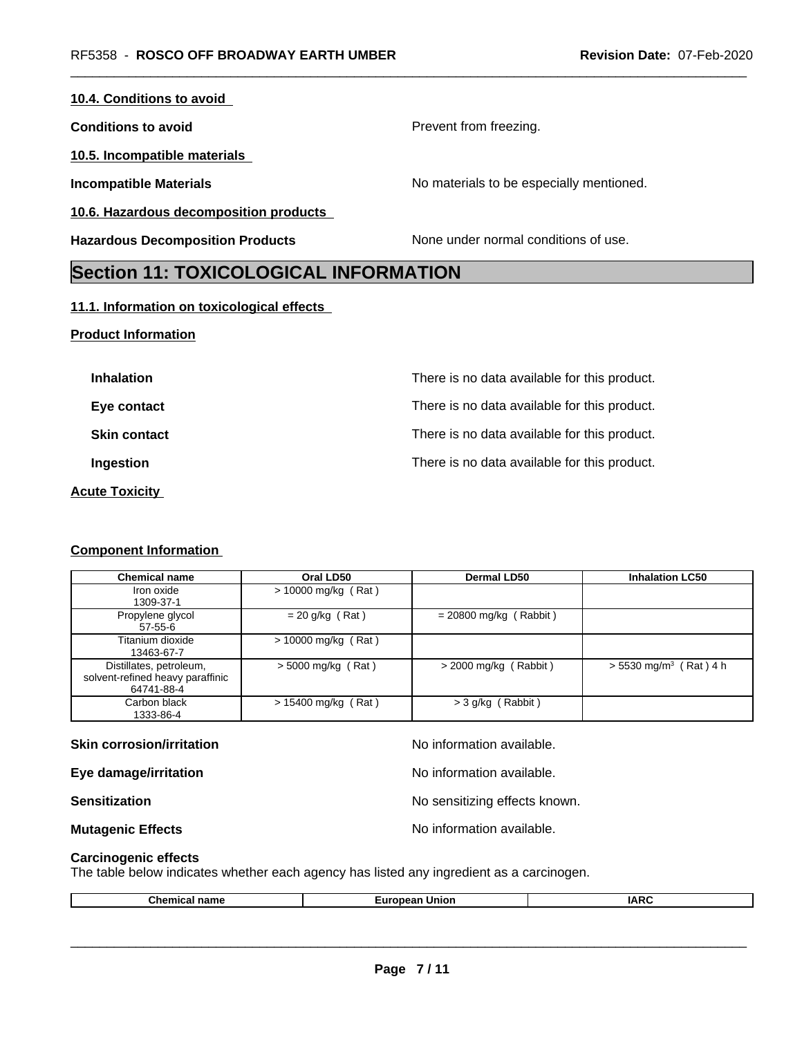| <b>Section 11: TOYICOLOGICAL INFORMATION</b> |                                          |
|----------------------------------------------|------------------------------------------|
| <b>Hazardous Decomposition Products</b>      | None under normal conditions of use.     |
| 10.6. Hazardous decomposition products       |                                          |
| <b>Incompatible Materials</b>                | No materials to be especially mentioned. |
| 10.5. Incompatible materials                 |                                          |
| <b>Conditions to avoid</b>                   | Prevent from freezing.                   |
| 10.4. Conditions to avoid                    |                                          |

# **Section 11: TOXICOLOGICAL INFORMATION**

# **11.1. Information on toxicological effects**

# **Product Information**

| <b>Inhalation</b>     | There is no data available for this product. |
|-----------------------|----------------------------------------------|
| Eye contact           | There is no data available for this product. |
| <b>Skin contact</b>   | There is no data available for this product. |
| Ingestion             | There is no data available for this product. |
| <b>Acute Toxicity</b> |                                              |

## **Component Information**

| <b>Chemical name</b>                                                      | Oral LD50             | <b>Dermal LD50</b>       | <b>Inhalation LC50</b>               |
|---------------------------------------------------------------------------|-----------------------|--------------------------|--------------------------------------|
| Iron oxide<br>1309-37-1                                                   | > 10000 mg/kg (Rat)   |                          |                                      |
| Propylene glycol<br>57-55-6                                               | $= 20$ g/kg (Rat)     | $= 20800$ mg/kg (Rabbit) |                                      |
| Titanium dioxide<br>13463-67-7                                            | $> 10000$ mg/kg (Rat) |                          |                                      |
| Distillates, petroleum,<br>solvent-refined heavy paraffinic<br>64741-88-4 | $>$ 5000 mg/kg (Rat)  | $>$ 2000 mg/kg (Rabbit)  | $> 5530$ mg/m <sup>3</sup> (Rat) 4 h |
| Carbon black<br>1333-86-4                                                 | $> 15400$ mg/kg (Rat) | $>$ 3 g/kg (Rabbit)      |                                      |

| <b>Skin corrosion/irritation</b> | No information available.     |
|----------------------------------|-------------------------------|
| Eye damage/irritation            | No information available.     |
| <b>Sensitization</b>             | No sensitizing effects known. |
| <b>Mutagenic Effects</b>         | No information available.     |

## **Carcinogenic effects**

The table below indicates whether each agency has listed any ingredient as a carcinogen.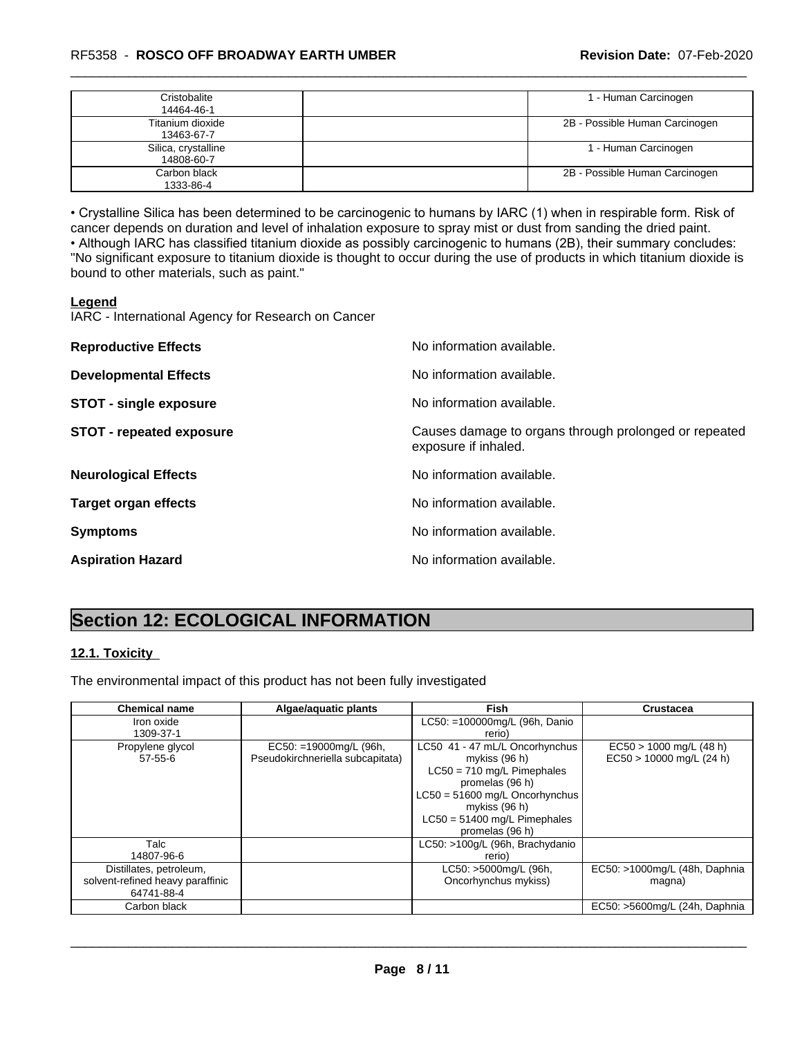## \_\_\_\_\_\_\_\_\_\_\_\_\_\_\_\_\_\_\_\_\_\_\_\_\_\_\_\_\_\_\_\_\_\_\_\_\_\_\_\_\_\_\_\_\_\_\_\_\_\_\_\_\_\_\_\_\_\_\_\_\_\_\_\_\_\_\_\_\_\_\_\_\_\_\_\_\_\_\_\_\_\_\_\_\_\_\_\_\_\_\_\_\_ RF5358 - **ROSCO OFF BROADWAY EARTH UMBER Revision Date:** 07-Feb-2020

| Cristobalite<br>14464-46-1        | 1 - Human Carcinogen           |
|-----------------------------------|--------------------------------|
| Titanium dioxide<br>13463-67-7    | 2B - Possible Human Carcinogen |
| Silica, crystalline<br>14808-60-7 | 1 - Human Carcinogen           |
| Carbon black<br>1333-86-4         | 2B - Possible Human Carcinogen |

• Crystalline Silica has been determined to be carcinogenic to humans by IARC (1) when in respirable form. Risk of cancer depends on duration and level of inhalation exposure to spray mist or dust from sanding the dried paint.• Although IARC has classified titanium dioxide as possibly carcinogenic to humans (2B), their summary concludes: "No significant exposure to titanium dioxide is thought to occur during the use of products in which titanium dioxide is bound to other materials, such as paint."

#### **Legend**

IARC - International Agency for Research on Cancer

| <b>Reproductive Effects</b>     | No information available.                                                     |
|---------------------------------|-------------------------------------------------------------------------------|
| <b>Developmental Effects</b>    | No information available.                                                     |
| <b>STOT - single exposure</b>   | No information available.                                                     |
| <b>STOT - repeated exposure</b> | Causes damage to organs through prolonged or repeated<br>exposure if inhaled. |
| <b>Neurological Effects</b>     | No information available.                                                     |
| <b>Target organ effects</b>     | No information available.                                                     |
| <b>Symptoms</b>                 | No information available.                                                     |
| <b>Aspiration Hazard</b>        | No information available.                                                     |

# **Section 12: ECOLOGICAL INFORMATION**

## **12.1. Toxicity**

The environmental impact of this product has not been fully investigated

| <b>Chemical name</b>             | Algae/aguatic plants             | <b>Fish</b>                      | <b>Crustacea</b>              |
|----------------------------------|----------------------------------|----------------------------------|-------------------------------|
| Iron oxide                       |                                  | LC50: =100000mg/L (96h, Danio    |                               |
| 1309-37-1                        |                                  | rerio)                           |                               |
| Propylene glycol                 | $EC50: = 19000mg/L$ (96h,        | LC50 41 - 47 mL/L Oncorhynchus   | $EC50 > 1000$ mg/L (48 h)     |
| $57 - 55 - 6$                    | Pseudokirchneriella subcapitata) | mykiss (96 h)                    | $EC50 > 10000$ mg/L (24 h)    |
|                                  |                                  | $LC50 = 710$ mg/L Pimephales     |                               |
|                                  |                                  | promelas (96 h)                  |                               |
|                                  |                                  | $LC50 = 51600$ mg/L Oncorhynchus |                               |
|                                  |                                  | mykiss (96 h)                    |                               |
|                                  |                                  | $LC50 = 51400$ mg/L Pimephales   |                               |
|                                  |                                  | promelas (96 h)                  |                               |
| Talc                             |                                  | LC50: >100g/L (96h, Brachydanio  |                               |
| 14807-96-6                       |                                  | rerio)                           |                               |
| Distillates, petroleum,          |                                  | LC50: >5000mg/L (96h,            | EC50: >1000mg/L (48h, Daphnia |
| solvent-refined heavy paraffinic |                                  | Oncorhynchus mykiss)             | magna)                        |
| 64741-88-4                       |                                  |                                  |                               |
| Carbon black                     |                                  |                                  | EC50: >5600mg/L (24h, Daphnia |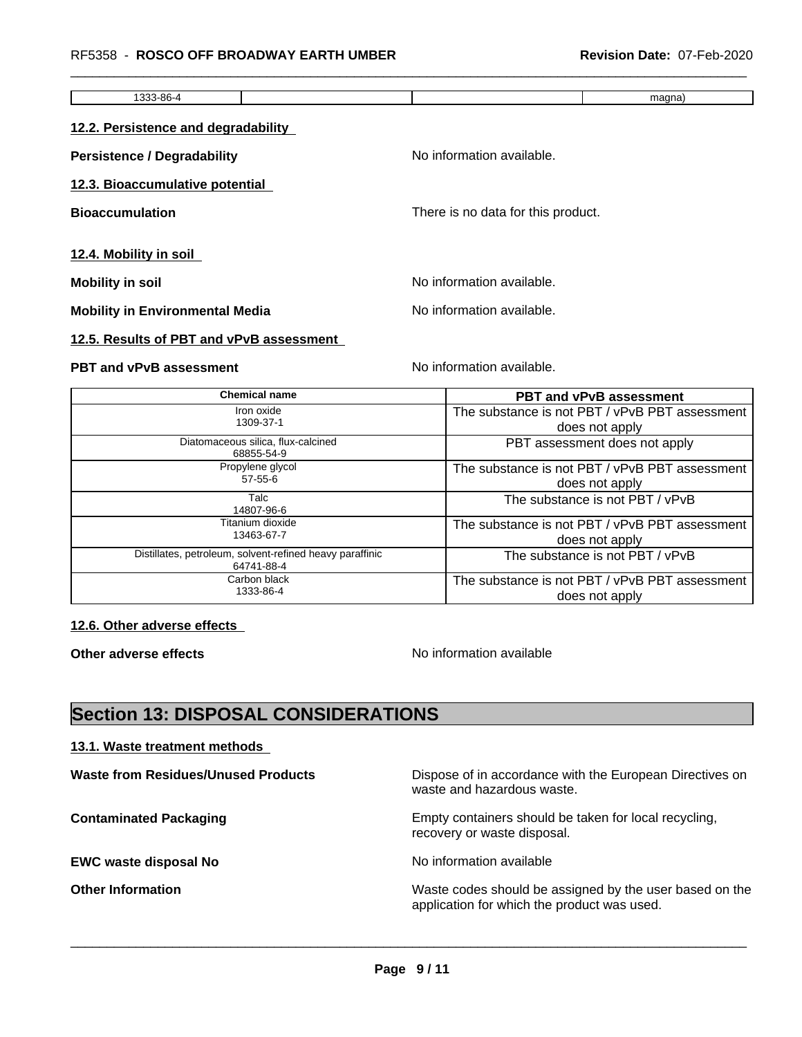| 1333-86-4                              |                                    | magna) |
|----------------------------------------|------------------------------------|--------|
| 12.2. Persistence and degradability    |                                    |        |
| <b>Persistence / Degradability</b>     | No information available.          |        |
| 12.3. Bioaccumulative potential        |                                    |        |
| <b>Bioaccumulation</b>                 | There is no data for this product. |        |
| 12.4. Mobility in soil                 |                                    |        |
| Mobility in soil                       | No information available.          |        |
| <b>Mobility in Environmental Media</b> | No information available.          |        |

#### **12.5. Results of PBT and vPvB assessment**

# **PBT and vPvB assessment** Noinformation available.

| <b>Chemical name</b>                                                   | <b>PBT and vPvB assessment</b>                 |
|------------------------------------------------------------------------|------------------------------------------------|
| Iron oxide                                                             | The substance is not PBT / vPvB PBT assessment |
| 1309-37-1                                                              | does not apply                                 |
| Diatomaceous silica, flux-calcined<br>68855-54-9                       | PBT assessment does not apply                  |
| Propylene glycol                                                       | The substance is not PBT / vPvB PBT assessment |
| $57 - 55 - 6$                                                          | does not apply                                 |
| Talc<br>14807-96-6                                                     | The substance is not PBT / vPvB                |
| Titanium dioxide                                                       | The substance is not PBT / vPvB PBT assessment |
| 13463-67-7                                                             | does not apply                                 |
| Distillates, petroleum, solvent-refined heavy paraffinic<br>64741-88-4 | The substance is not PBT / vPvB                |
| Carbon black                                                           | The substance is not PBT / vPvB PBT assessment |
| 1333-86-4                                                              | does not apply                                 |

**12.6. Other adverse effects** 

**Other adverse effects** No information available

 $\overline{\phantom{a}}$  ,  $\overline{\phantom{a}}$  ,  $\overline{\phantom{a}}$  ,  $\overline{\phantom{a}}$  ,  $\overline{\phantom{a}}$  ,  $\overline{\phantom{a}}$  ,  $\overline{\phantom{a}}$  ,  $\overline{\phantom{a}}$  ,  $\overline{\phantom{a}}$  ,  $\overline{\phantom{a}}$  ,  $\overline{\phantom{a}}$  ,  $\overline{\phantom{a}}$  ,  $\overline{\phantom{a}}$  ,  $\overline{\phantom{a}}$  ,  $\overline{\phantom{a}}$  ,  $\overline{\phantom{a}}$ 

# **Section 13: DISPOSAL CONSIDERATIONS**

## **13.1. Waste treatment methods**

**Waste from Residues/Unused Products** Dispose of in accordance with the European Directives on waste and hazardous waste. **Contaminated Packaging <b>Empty Containers** should be taken for local recycling, recovery or waste disposal. **EWC waste disposal No No information available EWC** waste disposal No **Other Information Other Information Intervellence in the Waste codes should be assigned by the user based on the** application for which the product was used.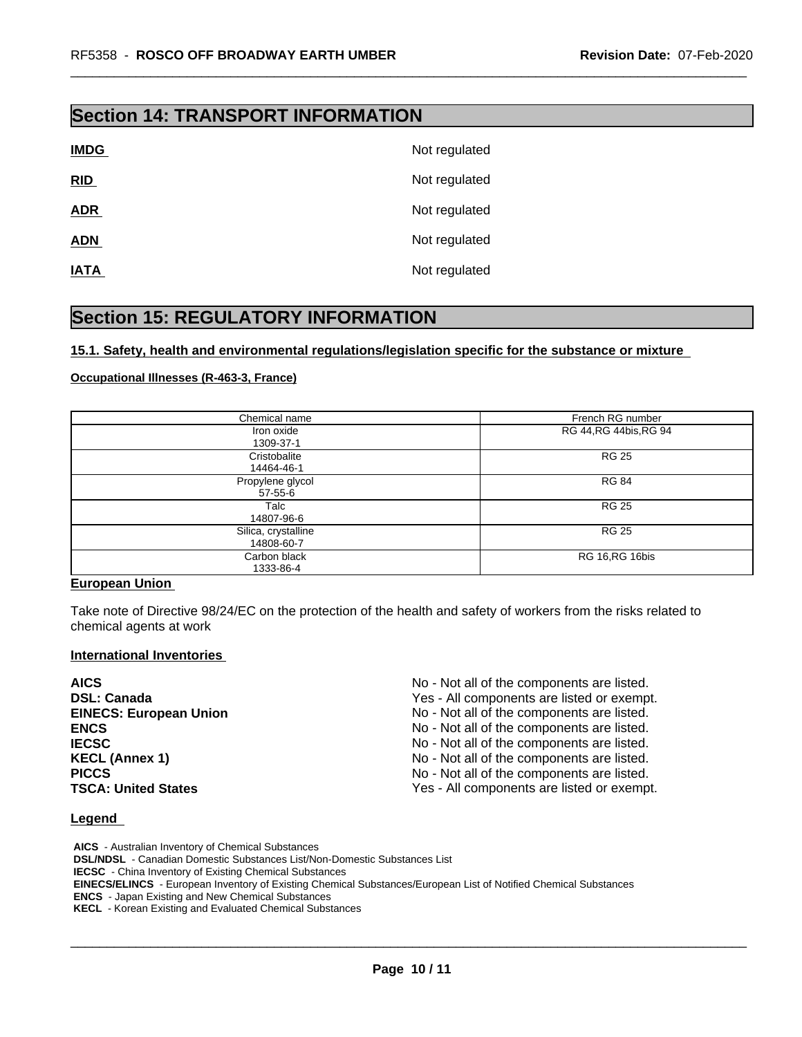# **Section 14: TRANSPORT INFORMATION**

| <b>IMDG</b> | Not regulated |
|-------------|---------------|
| RID         | Not regulated |
| <b>ADR</b>  | Not regulated |
| <b>ADN</b>  | Not regulated |
| <b>IATA</b> | Not regulated |

# **Section 15: REGULATORY INFORMATION**

## **15.1. Safety, health and environmental regulations/legislation specific for the substance or mixture**

#### **Occupational Illnesses (R-463-3, France)**

| Chemical name                     | French RG number        |
|-----------------------------------|-------------------------|
| Iron oxide<br>1309-37-1           | RG 44, RG 44 bis, RG 94 |
| Cristobalite<br>14464-46-1        | <b>RG 25</b>            |
| Propylene glycol<br>$57 - 55 - 6$ | <b>RG 84</b>            |
| Talc<br>14807-96-6                | <b>RG 25</b>            |
| Silica, crystalline<br>14808-60-7 | <b>RG 25</b>            |
| Carbon black<br>1333-86-4         | RG 16, RG 16bis         |

## **European Union**

Take note of Directive 98/24/EC on the protection of the health and safety of workers from the risks related to chemical agents at work

## **International Inventories**

| <b>AICS</b>                   | No - Not all of the components are listed. |
|-------------------------------|--------------------------------------------|
| <b>DSL: Canada</b>            | Yes - All components are listed or exempt. |
| <b>EINECS: European Union</b> | No - Not all of the components are listed. |
| <b>ENCS</b>                   | No - Not all of the components are listed. |
| <b>IECSC</b>                  | No - Not all of the components are listed. |
| <b>KECL (Annex 1)</b>         | No - Not all of the components are listed. |
| <b>PICCS</b>                  | No - Not all of the components are listed. |
| <b>TSCA: United States</b>    | Yes - All components are listed or exempt. |

#### **Legend**

 **AICS** - Australian Inventory of Chemical Substances  **DSL/NDSL** - Canadian Domestic Substances List/Non-Domestic Substances List  **IECSC** - China Inventory of Existing Chemical Substances  **EINECS/ELINCS** - European Inventory of Existing Chemical Substances/European List of Notified Chemical Substances  **ENCS** - Japan Existing and New Chemical Substances  **KECL** - Korean Existing and Evaluated Chemical Substances